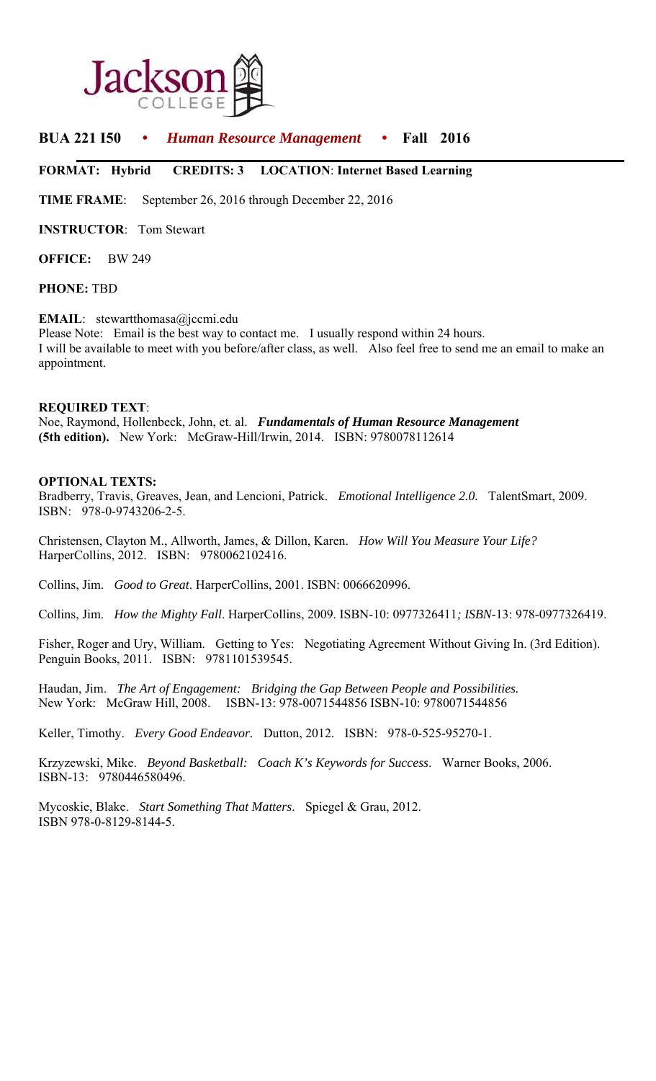

# **BUA 221 I50** • *Human Resource Management* • **Fall 2016**

## **FORMAT: Hybrid CREDITS: 3 LOCATION**: **Internet Based Learning**

**TIME FRAME**: September 26, 2016 through December 22, 2016

**INSTRUCTOR**: Tom Stewart

**OFFICE:** BW 249

#### **PHONE:** TBD

### **EMAIL**: stewartthomasa@jccmi.edu

Please Note: Email is the best way to contact me. I usually respond within 24 hours. I will be available to meet with you before/after class, as well. Also feel free to send me an email to make an appointment.

#### **REQUIRED TEXT**:

Noe, Raymond, Hollenbeck, John, et. al. *Fundamentals of Human Resource Management* **(5th edition).** New York: McGraw-Hill/Irwin, 2014. ISBN: 9780078112614

## **OPTIONAL TEXTS:**

Bradberry, Travis, Greaves, Jean, and Lencioni, Patrick. *Emotional Intelligence 2.0.* TalentSmart, 2009. ISBN: 978-0-9743206-2-5.

Christensen, Clayton M., Allworth, James, & Dillon, Karen. *How Will You Measure Your Life?* HarperCollins, 2012. ISBN: 9780062102416.

Collins, Jim. *Good to Great*. HarperCollins, 2001. ISBN: 0066620996.

Collins, Jim. *How the Mighty Fall*. HarperCollins, 2009. ISBN-10: 0977326411*; ISBN*-13: 978-0977326419.

Fisher, Roger and Ury, William. Getting to Yes: Negotiating Agreement Without Giving In. (3rd Edition). Penguin Books, 2011. ISBN: 9781101539545.

Haudan, Jim. *The Art of Engagement: Bridging the Gap Between People and Possibilities.*  New York: McGraw Hill, 2008. ISBN-13: 978-0071544856 ISBN-10: 9780071544856

Keller, Timothy. *Every Good Endeavor.* Dutton, 2012. ISBN: 978-0-525-95270-1.

Krzyzewski, Mike. *Beyond Basketball: Coach K's Keywords for Success*. Warner Books, 2006. ISBN-13: 9780446580496.

Mycoskie, Blake. *Start Something That Matters*. Spiegel & Grau, 2012. ISBN 978-0-8129-8144-5.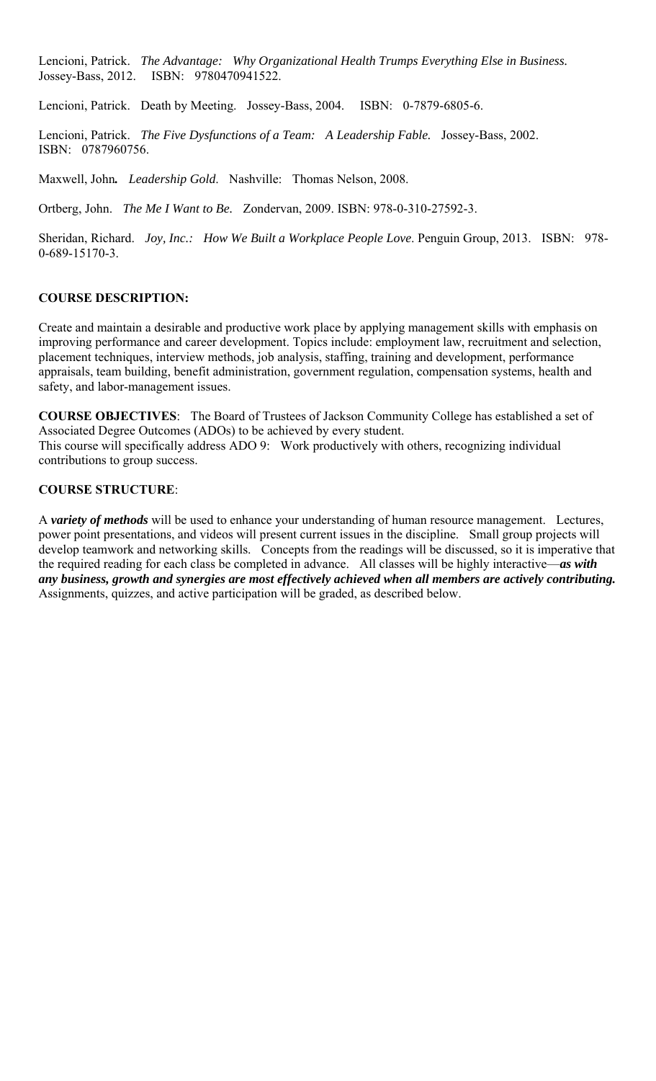Lencioni, Patrick. *The Advantage: Why Organizational Health Trumps Everything Else in Business.* Jossey-Bass, 2012. ISBN: 9780470941522.

Lencioni, Patrick. Death by Meeting. Jossey-Bass, 2004. ISBN: 0-7879-6805-6.

Lencioni, Patrick. *The Five Dysfunctions of a Team: A Leadership Fable.* Jossey-Bass, 2002. ISBN: 0787960756.

Maxwell, John*. Leadership Gold*. Nashville: Thomas Nelson, 2008.

Ortberg, John. *The Me I Want to Be.* Zondervan, 2009. ISBN: 978-0-310-27592-3.

Sheridan, Richard. *Joy, Inc.: How We Built a Workplace People Love*. Penguin Group, 2013. ISBN: 978- 0-689-15170-3.

# **COURSE DESCRIPTION:**

Create and maintain a desirable and productive work place by applying management skills with emphasis on improving performance and career development. Topics include: employment law, recruitment and selection, placement techniques, interview methods, job analysis, staffing, training and development, performance appraisals, team building, benefit administration, government regulation, compensation systems, health and safety, and labor-management issues.

**COURSE OBJECTIVES**: The Board of Trustees of Jackson Community College has established a set of Associated Degree Outcomes (ADOs) to be achieved by every student. This course will specifically address ADO 9: Work productively with others, recognizing individual contributions to group success.

## **COURSE STRUCTURE**:

A *variety of methods* will be used to enhance your understanding of human resource management. Lectures, power point presentations, and videos will present current issues in the discipline. Small group projects will develop teamwork and networking skills. Concepts from the readings will be discussed, so it is imperative that the required reading for each class be completed in advance. All classes will be highly interactive—*as with any business, growth and synergies are most effectively achieved when all members are actively contributing.*  Assignments, quizzes, and active participation will be graded, as described below.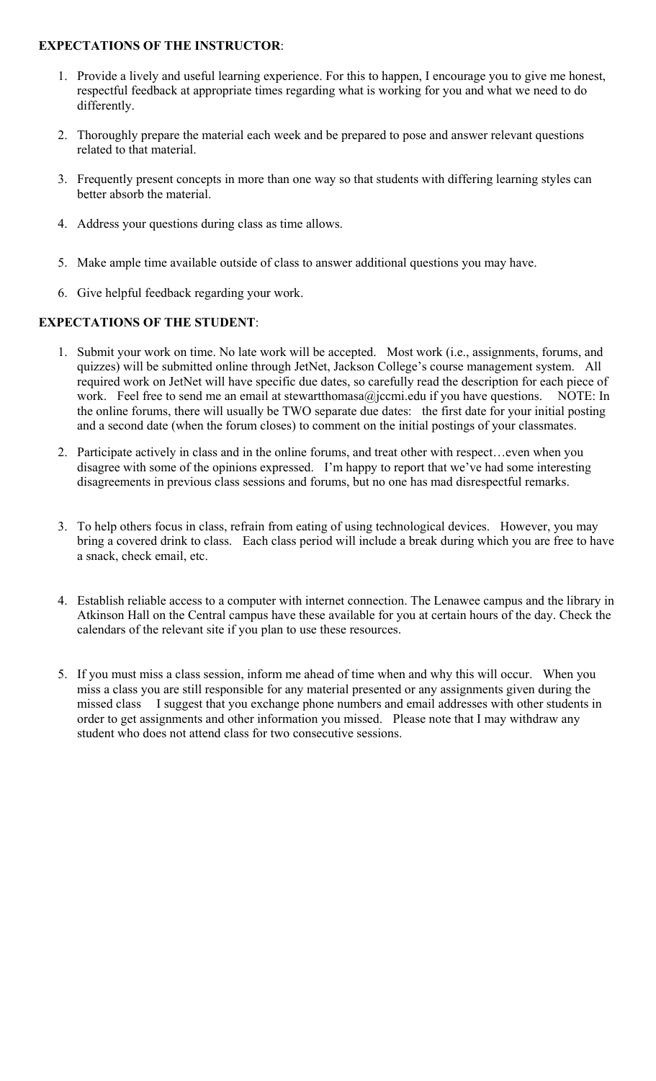# **EXPECTATIONS OF THE INSTRUCTOR**:

- 1. Provide a lively and useful learning experience. For this to happen, I encourage you to give me honest, respectful feedback at appropriate times regarding what is working for you and what we need to do differently.
- 2. Thoroughly prepare the material each week and be prepared to pose and answer relevant questions related to that material.
- 3. Frequently present concepts in more than one way so that students with differing learning styles can better absorb the material.
- 4. Address your questions during class as time allows.
- 5. Make ample time available outside of class to answer additional questions you may have.
- 6. Give helpful feedback regarding your work.

# **EXPECTATIONS OF THE STUDENT**:

- 1. Submit your work on time. No late work will be accepted. Most work (i.e., assignments, forums, and quizzes) will be submitted online through JetNet, Jackson College's course management system. All required work on JetNet will have specific due dates, so carefully read the description for each piece of work. Feel free to send me an email at stewartthomasa@jccmi.edu if you have questions. NOTE: In the online forums, there will usually be TWO separate due dates: the first date for your initial posting and a second date (when the forum closes) to comment on the initial postings of your classmates.
- 2. Participate actively in class and in the online forums, and treat other with respect…even when you disagree with some of the opinions expressed. I'm happy to report that we've had some interesting disagreements in previous class sessions and forums, but no one has mad disrespectful remarks.
- 3. To help others focus in class, refrain from eating of using technological devices. However, you may bring a covered drink to class. Each class period will include a break during which you are free to have a snack, check email, etc.
- 4. Establish reliable access to a computer with internet connection. The Lenawee campus and the library in Atkinson Hall on the Central campus have these available for you at certain hours of the day. Check the calendars of the relevant site if you plan to use these resources.
- 5. If you must miss a class session, inform me ahead of time when and why this will occur. When you miss a class you are still responsible for any material presented or any assignments given during the missed class I suggest that you exchange phone numbers and email addresses with other students in order to get assignments and other information you missed. Please note that I may withdraw any student who does not attend class for two consecutive sessions.